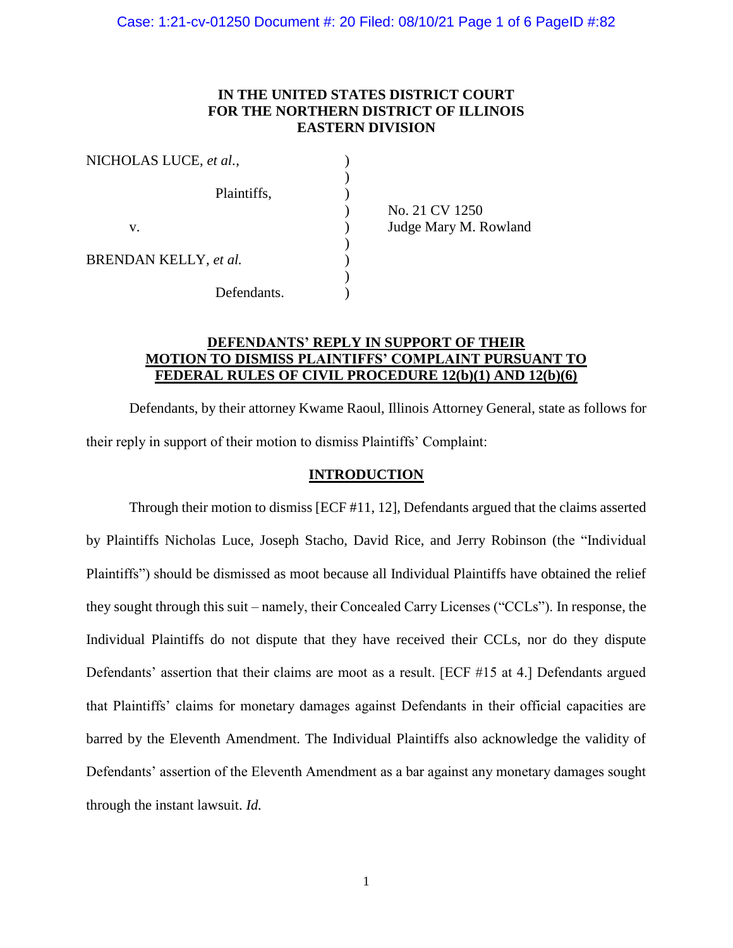# **IN THE UNITED STATES DISTRICT COURT FOR THE NORTHERN DISTRICT OF ILLINOIS EASTERN DIVISION**

| NICHOLAS LUCE, et al., |                       |
|------------------------|-----------------------|
|                        |                       |
| Plaintiffs,            |                       |
|                        | No. 21 CV 1250        |
| v.                     | Judge Mary M. Rowland |
|                        |                       |
| BRENDAN KELLY, et al.  |                       |
|                        |                       |
| Defendants.            |                       |

# **DEFENDANTS' REPLY IN SUPPORT OF THEIR MOTION TO DISMISS PLAINTIFFS' COMPLAINT PURSUANT TO FEDERAL RULES OF CIVIL PROCEDURE 12(b)(1) AND 12(b)(6)**

Defendants, by their attorney Kwame Raoul, Illinois Attorney General, state as follows for their reply in support of their motion to dismiss Plaintiffs' Complaint:

### **INTRODUCTION**

Through their motion to dismiss [ECF #11, 12], Defendants argued that the claims asserted by Plaintiffs Nicholas Luce, Joseph Stacho, David Rice, and Jerry Robinson (the "Individual Plaintiffs") should be dismissed as moot because all Individual Plaintiffs have obtained the relief they sought through this suit – namely, their Concealed Carry Licenses ("CCLs"). In response, the Individual Plaintiffs do not dispute that they have received their CCLs, nor do they dispute Defendants' assertion that their claims are moot as a result. [ECF #15 at 4.] Defendants argued that Plaintiffs' claims for monetary damages against Defendants in their official capacities are barred by the Eleventh Amendment. The Individual Plaintiffs also acknowledge the validity of Defendants' assertion of the Eleventh Amendment as a bar against any monetary damages sought through the instant lawsuit. *Id.*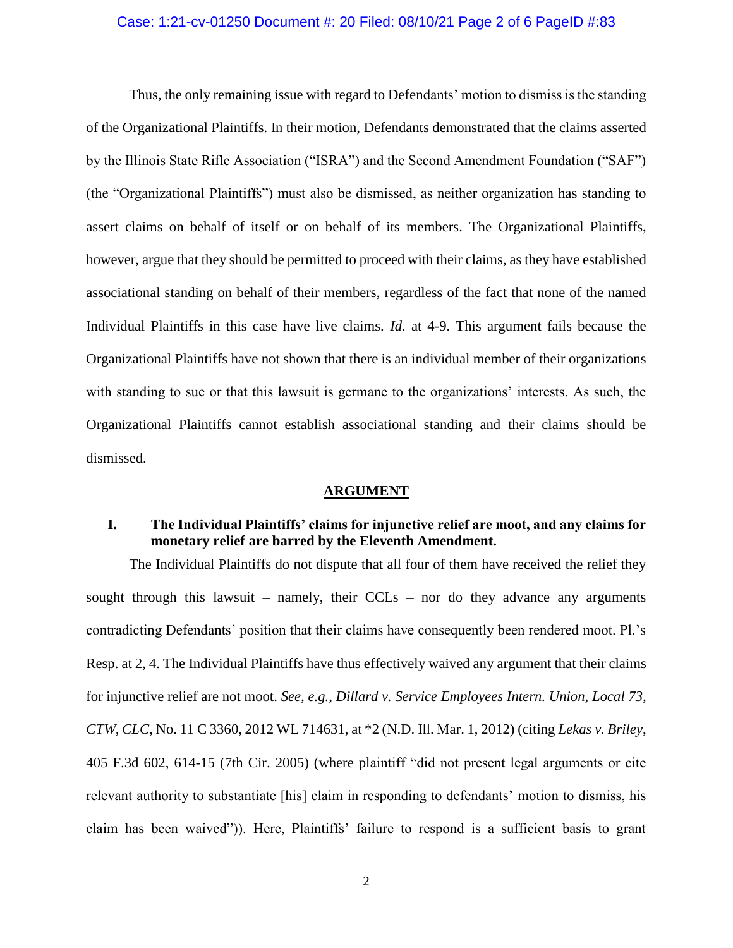### Case: 1:21-cv-01250 Document #: 20 Filed: 08/10/21 Page 2 of 6 PageID #:83

Thus, the only remaining issue with regard to Defendants' motion to dismiss is the standing of the Organizational Plaintiffs. In their motion, Defendants demonstrated that the claims asserted by the Illinois State Rifle Association ("ISRA") and the Second Amendment Foundation ("SAF") (the "Organizational Plaintiffs") must also be dismissed, as neither organization has standing to assert claims on behalf of itself or on behalf of its members. The Organizational Plaintiffs, however, argue that they should be permitted to proceed with their claims, as they have established associational standing on behalf of their members, regardless of the fact that none of the named Individual Plaintiffs in this case have live claims. *Id.* at 4-9. This argument fails because the Organizational Plaintiffs have not shown that there is an individual member of their organizations with standing to sue or that this lawsuit is germane to the organizations' interests. As such, the Organizational Plaintiffs cannot establish associational standing and their claims should be dismissed.

#### **ARGUMENT**

# **I. The Individual Plaintiffs' claims for injunctive relief are moot, and any claims for monetary relief are barred by the Eleventh Amendment.**

The Individual Plaintiffs do not dispute that all four of them have received the relief they sought through this lawsuit – namely, their  $CCLs$  – nor do they advance any arguments contradicting Defendants' position that their claims have consequently been rendered moot. Pl.'s Resp. at 2, 4. The Individual Plaintiffs have thus effectively waived any argument that their claims for injunctive relief are not moot. *See, e.g., Dillard v. Service Employees Intern. Union, Local 73, CTW, CLC*, No. 11 C 3360, 2012 WL 714631, at \*2 (N.D. Ill. Mar. 1, 2012) (citing *Lekas v. Briley*, 405 F.3d 602, 614-15 (7th Cir. 2005) (where plaintiff "did not present legal arguments or cite relevant authority to substantiate [his] claim in responding to defendants' motion to dismiss, his claim has been waived")). Here, Plaintiffs' failure to respond is a sufficient basis to grant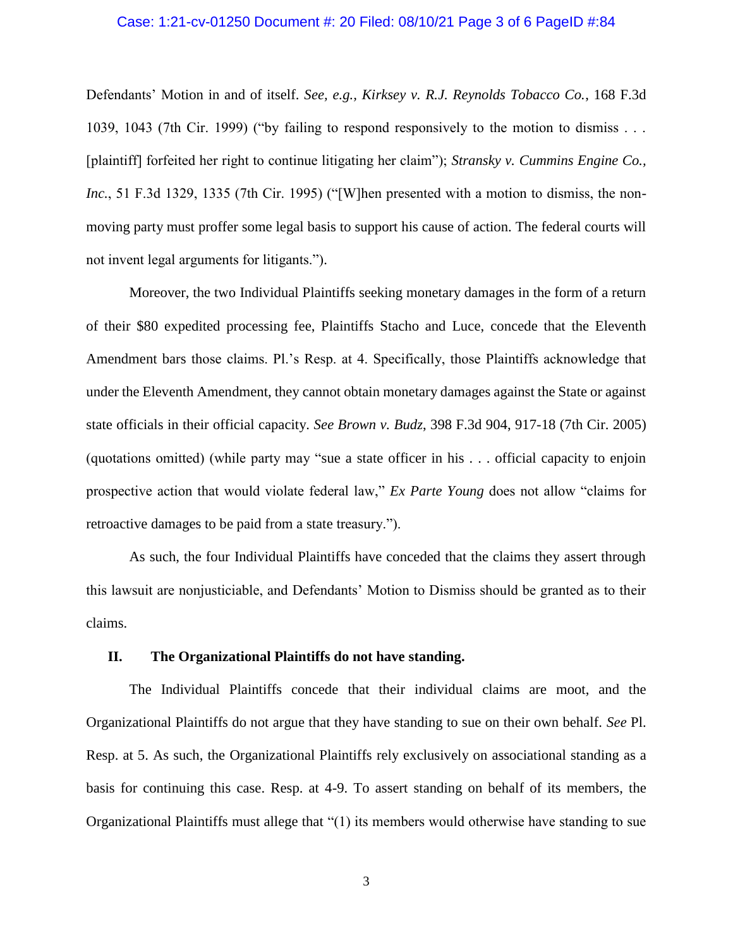### Case: 1:21-cv-01250 Document #: 20 Filed: 08/10/21 Page 3 of 6 PageID #:84

Defendants' Motion in and of itself. *See, e.g., Kirksey v. R.J. Reynolds Tobacco Co.*, 168 F.3d 1039, 1043 (7th Cir. 1999) ("by failing to respond responsively to the motion to dismiss . . . [plaintiff] forfeited her right to continue litigating her claim"); *Stransky v. Cummins Engine Co., Inc.*, 51 F.3d 1329, 1335 (7th Cir. 1995) ("[W]hen presented with a motion to dismiss, the nonmoving party must proffer some legal basis to support his cause of action. The federal courts will not invent legal arguments for litigants.").

Moreover, the two Individual Plaintiffs seeking monetary damages in the form of a return of their \$80 expedited processing fee, Plaintiffs Stacho and Luce, concede that the Eleventh Amendment bars those claims. Pl.'s Resp. at 4. Specifically, those Plaintiffs acknowledge that under the Eleventh Amendment, they cannot obtain monetary damages against the State or against state officials in their official capacity. *See Brown v. Budz*, 398 F.3d 904, 917-18 (7th Cir. 2005) (quotations omitted) (while party may "sue a state officer in his . . . official capacity to enjoin prospective action that would violate federal law," *Ex Parte Young* does not allow "claims for retroactive damages to be paid from a state treasury.").

As such, the four Individual Plaintiffs have conceded that the claims they assert through this lawsuit are nonjusticiable, and Defendants' Motion to Dismiss should be granted as to their claims.

### **II. The Organizational Plaintiffs do not have standing.**

The Individual Plaintiffs concede that their individual claims are moot, and the Organizational Plaintiffs do not argue that they have standing to sue on their own behalf. *See* Pl. Resp. at 5. As such, the Organizational Plaintiffs rely exclusively on associational standing as a basis for continuing this case. Resp. at 4-9. To assert standing on behalf of its members, the Organizational Plaintiffs must allege that "(1) its members would otherwise have standing to sue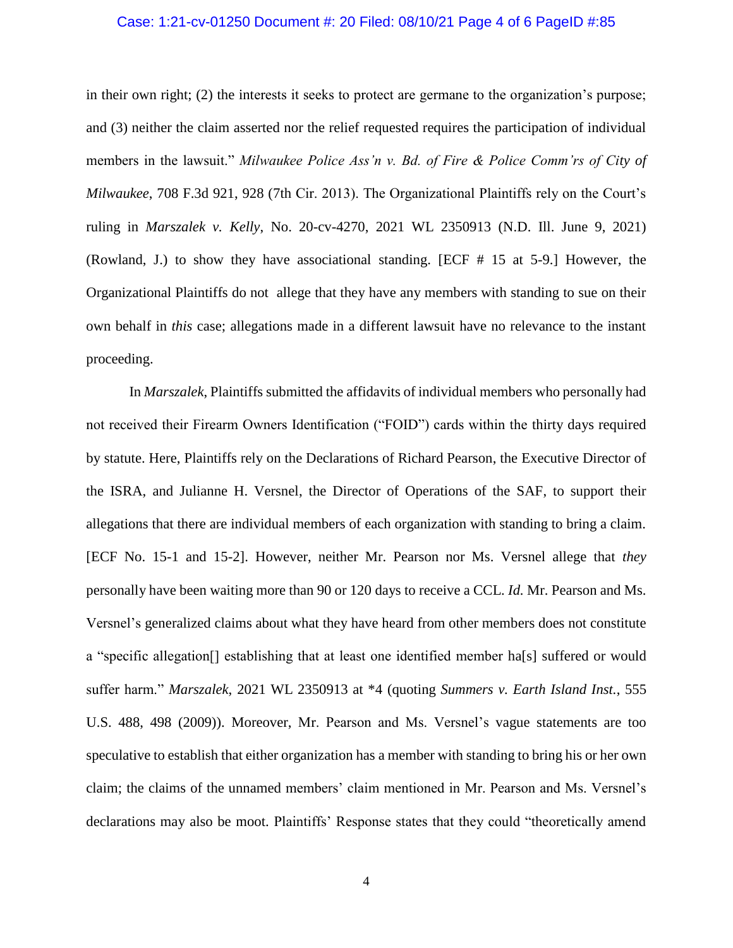### Case: 1:21-cv-01250 Document #: 20 Filed: 08/10/21 Page 4 of 6 PageID #:85

in their own right; (2) the interests it seeks to protect are germane to the organization's purpose; and (3) neither the claim asserted nor the relief requested requires the participation of individual members in the lawsuit." *Milwaukee Police Ass'n v. Bd. of Fire & Police Comm'rs of City of Milwaukee*, 708 F.3d 921, 928 (7th Cir. 2013). The Organizational Plaintiffs rely on the Court's ruling in *Marszalek v. Kelly*, No. 20-cv-4270, 2021 WL 2350913 (N.D. Ill. June 9, 2021) (Rowland, J.) to show they have associational standing. [ECF # 15 at 5-9.] However, the Organizational Plaintiffs do not allege that they have any members with standing to sue on their own behalf in *this* case; allegations made in a different lawsuit have no relevance to the instant proceeding.

In *Marszalek*, Plaintiffs submitted the affidavits of individual members who personally had not received their Firearm Owners Identification ("FOID") cards within the thirty days required by statute. Here, Plaintiffs rely on the Declarations of Richard Pearson, the Executive Director of the ISRA, and Julianne H. Versnel, the Director of Operations of the SAF, to support their allegations that there are individual members of each organization with standing to bring a claim. [ECF No. 15-1 and 15-2]. However, neither Mr. Pearson nor Ms. Versnel allege that *they* personally have been waiting more than 90 or 120 days to receive a CCL. *Id.* Mr. Pearson and Ms. Versnel's generalized claims about what they have heard from other members does not constitute a "specific allegation[] establishing that at least one identified member ha[s] suffered or would suffer harm." *Marszalek*, 2021 WL 2350913 at \*4 (quoting *Summers v. Earth Island Inst.*, 555 U.S. 488, 498 (2009)). Moreover, Mr. Pearson and Ms. Versnel's vague statements are too speculative to establish that either organization has a member with standing to bring his or her own claim; the claims of the unnamed members' claim mentioned in Mr. Pearson and Ms. Versnel's declarations may also be moot. Plaintiffs' Response states that they could "theoretically amend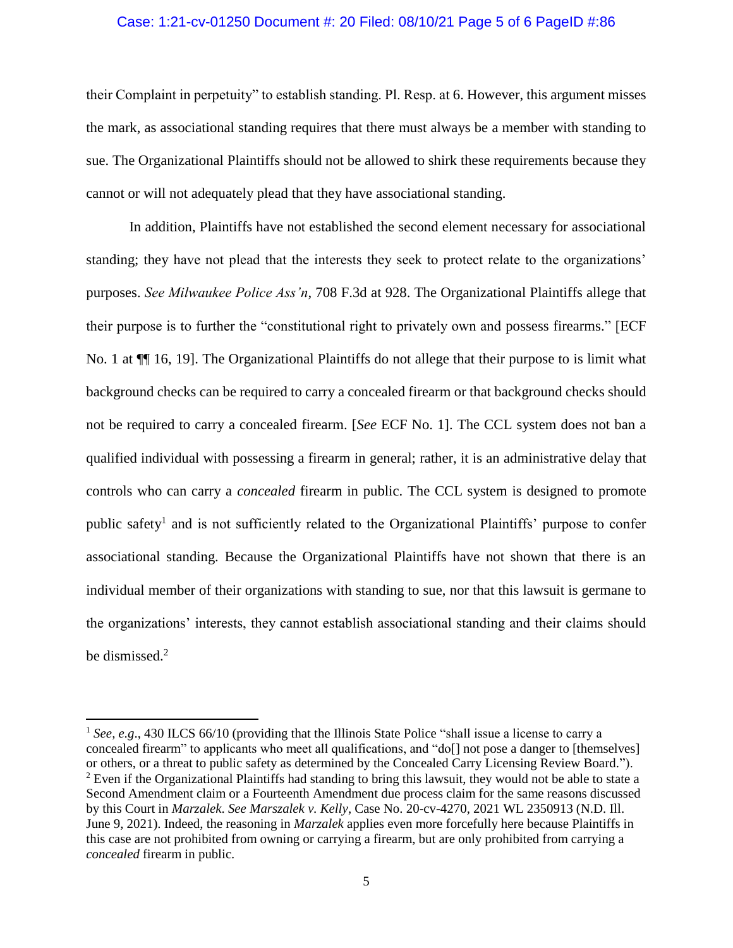### Case: 1:21-cv-01250 Document #: 20 Filed: 08/10/21 Page 5 of 6 PageID #:86

their Complaint in perpetuity" to establish standing. Pl. Resp. at 6. However, this argument misses the mark, as associational standing requires that there must always be a member with standing to sue. The Organizational Plaintiffs should not be allowed to shirk these requirements because they cannot or will not adequately plead that they have associational standing.

In addition, Plaintiffs have not established the second element necessary for associational standing; they have not plead that the interests they seek to protect relate to the organizations' purposes. *See Milwaukee Police Ass'n*, 708 F.3d at 928. The Organizational Plaintiffs allege that their purpose is to further the "constitutional right to privately own and possess firearms." [ECF No. 1 at  $\P$ [16, 19]. The Organizational Plaintiffs do not allege that their purpose to is limit what background checks can be required to carry a concealed firearm or that background checks should not be required to carry a concealed firearm. [*See* ECF No. 1]. The CCL system does not ban a qualified individual with possessing a firearm in general; rather, it is an administrative delay that controls who can carry a *concealed* firearm in public. The CCL system is designed to promote public safety<sup>1</sup> and is not sufficiently related to the Organizational Plaintiffs' purpose to confer associational standing. Because the Organizational Plaintiffs have not shown that there is an individual member of their organizations with standing to sue, nor that this lawsuit is germane to the organizations' interests, they cannot establish associational standing and their claims should be dismissed.<sup>2</sup>

 $\overline{\phantom{a}}$ 

<sup>&</sup>lt;sup>1</sup> *See, e.g.*, 430 ILCS 66/10 (providing that the Illinois State Police "shall issue a license to carry a concealed firearm" to applicants who meet all qualifications, and "do[] not pose a danger to [themselves] or others, or a threat to public safety as determined by the Concealed Carry Licensing Review Board."). <sup>2</sup> Even if the Organizational Plaintiffs had standing to bring this lawsuit, they would not be able to state a Second Amendment claim or a Fourteenth Amendment due process claim for the same reasons discussed by this Court in *Marzalek*. *See Marszalek v. Kelly*, Case No. 20-cv-4270, 2021 WL 2350913 (N.D. Ill. June 9, 2021). Indeed, the reasoning in *Marzalek* applies even more forcefully here because Plaintiffs in this case are not prohibited from owning or carrying a firearm, but are only prohibited from carrying a *concealed* firearm in public.